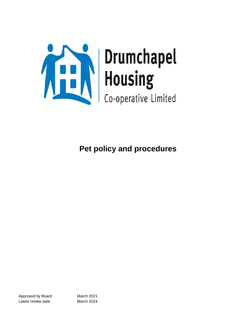

Approved by Board March 2021 Latest review date March 2024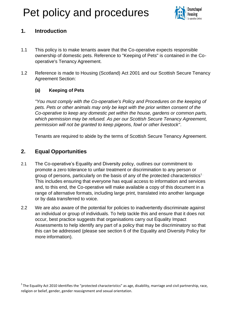

### **1. Introduction**

- 1.1 This policy is to make tenants aware that the Co-operative expects responsible ownership of domestic pets. Reference to "Keeping of Pets" is contained in the Cooperative's Tenancy Agreement.
- 1.2 Reference is made to Housing (Scotland) Act 2001 and our Scottish Secure Tenancy Agreement Section:

### **(a) Keeping of Pets**

*"You must comply with the Co-operative's Policy and Procedures on the keeping of pets. Pets or other animals may only be kept with the prior written consent of the Co-operative to keep any domestic pet within the house, gardens or common parts, which permission may be refused. As per our Scottish Secure Tenancy Agreement, permission will not be granted to keep pigeons, fowl or other livestock"*.

Tenants are required to abide by the terms of Scottish Secure Tenancy Agreement.

### **2. Equal Opportunities**

- 2.1 The Co-operative's Equality and Diversity policy, outlines our commitment to promote a zero tolerance to unfair treatment or discrimination to any person or group of persons, particularly on the basis of any of the protected characteristics<sup>1.</sup> This includes ensuring that everyone has equal access to information and services and, to this end, the Co-operative will make available a copy of this document in a range of alternative formats, including large print, translated into another language or by data transferred to voice.
- 2.2 We are also aware of the potential for policies to inadvertently discriminate against an individual or group of individuals. To help tackle this and ensure that it does not occur, best practice suggests that organisations carry out Equality Impact Assessments to help identify any part of a policy that may be discriminatory so that this can be addressed (please see section 6 of the Equality and Diversity Policy for more information).

 $1$ The Equality Act 2010 identifies the "protected characteristics" as age, disability, marriage and civil partnership, race, religion or belief, gender, gender reassignment and sexual orientation.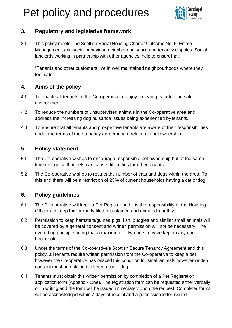

### **3. Regulatory and legislative framework**

3.1 This policy meets The Scottish Social Housing Charter Outcome No. 6: Estate Management, anti-social behaviour, neighbour nuisance and tenancy disputes. Social landlords working in partnership with other agencies, help to ensurethat;

"Tenants and other customers live in well maintained neighbourhoods where they feel safe".

### **4. Aims of the policy**

- 4.1 To enable all tenants of the Co-operative to enjoy a clean, peaceful and safe environment.
- 4.2 To reduce the numbers of unsupervised animals in the Co-operative area and address the increasing dog nuisance issues being experienced by tenants.
- 4.3 To ensure that all tenants and prospective tenants are aware of their responsibilities under the terms of their tenancy agreement in relation to pet ownership.

### **5. Policy statement**

- 5.1 The Co-operative wishes to encourage responsible pet ownership but at the same time recognise that pets can cause difficulties for other tenants.
- 5.2 The Co-operative wishes to restrict the number of cats and dogs within the area. To this end there will be a restriction of 25% of current households having a cat or dog.

### **6. Policy guidelines**

- 6.1 The Co-operative will keep a Pet Register and it is the responsibility of the Housing Officers to keep this properly filed, maintained and updated monthly.
- 6.2 Permission to keep hamsters/guinea pigs, fish, budgies and similar small animals will be covered by a general consent and written permission will not be necessary. The overriding principle being that a maximum of two pets may be kept in any one household.
- 6.3 Under the terms of the Co-operative's Scottish Secure Tenancy Agreement and this policy, all tenants require written permission from the Co-operative to keep a pet however the Co-operative has relaxed this condition for small animals however written consent must be obtained to keep a cat ordog.
- 6.4 Tenants must obtain this written permission by completion of a Pet Registration application form (Appendix One). The registration form can be requested either verbally or in writing and the form will be issued immediately upon the request. Completedforms will be acknowledged within **7** days of receipt and a permission letter issued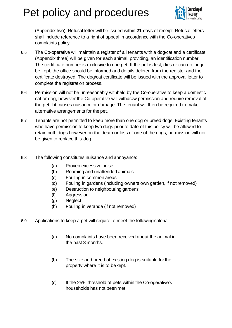

(Appendix two). Refusal letter will be issued within **21** days of receipt. Refusal letters shall include reference to a right of appeal in accordance with the Co-operatives complaints policy.

- 6.5 The Co-operative will maintain a register of all tenants with a dog/cat and a certificate (Appendix three) will be given for each animal, providing, an identification number. The certificate number is exclusive to one pet. If the pet is lost, dies or can no longer be kept, the office should be informed and details deleted from the register and the certificate destroyed. The dog/cat certificate will be issued with the approval letter to complete the registration process.
- 6.6 Permission will not be unreasonably withheld by the Co-operative to keep a domestic cat or dog, however the Co-operative will withdraw permission and require removal of the pet if it causes nuisance or damage. The tenant will then be required to make alternative arrangements for the pet.
- 6.7 Tenants are not permitted to keep more than one dog or breed dogs. Existing tenants who have permission to keep two dogs prior to date of this policy will be allowed to retain both dogs however on the death or loss of one of the dogs, permission will not be given to replace this dog.
- 6.8 The following constitutes nuisance and annoyance:
	- (a) Proven excessive noise
	- (b) Roaming and unattended animals
	- (c) Fouling in common areas
	- (d) Fouling in gardens (including owners own garden, if not removed)
	- (e) Destruction to neighbouring gardens
	- (f) Aggression
	- (g) Neglect
	- (h) Fouling in veranda (if not removed)
- 6.9 Applications to keep a pet will require to meet the followingcriteria:
	- (a) No complaints have been received about the animal in the past 3 months.
	- (b) The size and breed of existing dog is suitable forthe property where it is to bekept.
	- (c) If the 25% threshold of pets within the Co-operative's households has not been met.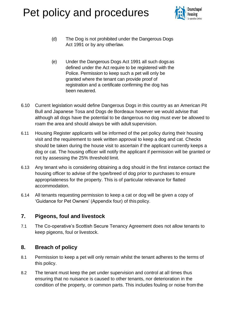

- (d) The Dog is not prohibited under the Dangerous Dogs Act 1991 or by any otherlaw.
- (e) Under the Dangerous Dogs Act 1991 all such dogs as defined under the Act require to be registered with the Police. Permission to keep such a pet will only be granted where the tenant can provide proof of registration and a certificate confirming the dog has been neutered.
- 6.10 Current legislation would define Dangerous Dogs in this country as an American Pit Bull and Japanese Tosa and Dogs de Bordeaux however we would advise that although all dogs have the potential to be dangerous no dog must ever be allowed to roam the area and should always be with adult supervision.
- 6.11 Housing Register applicants will be informed of the pet policy during their housing visit and the requirement to seek written approval to keep a dog and cat. Checks should be taken during the house visit to ascertain if the applicant currently keeps a dog or cat. The housing officer will notify the applicant if permission will be granted or not by assessing the 25% threshold limit.
- 6.13 Any tenant who is considering obtaining a dog should in the first instance contact the housing officer to advise of the type/breed of dog prior to purchases to ensure appropriateness for the property. This is of particular relevance for flatted accommodation.
- 6.14 All tenants requesting permission to keep a cat or dog will be given a copy of 'Guidance for Pet Owners' (Appendix four) of this policy.

### **7. Pigeons, foul and livestock**

7.1 The Co-operative's Scottish Secure Tenancy Agreement does not allow tenants to keep pigeons, foul or livestock.

### **8. Breach of policy**

- 8.1 Permission to keep a pet will only remain whilst the tenant adheres to the terms of this policy.
- 8.2 The tenant must keep the pet under supervision and control at all times thus ensuring that no nuisance is caused to other tenants, nor deterioration in the condition of the property, or common parts. This includes fouling or noise from the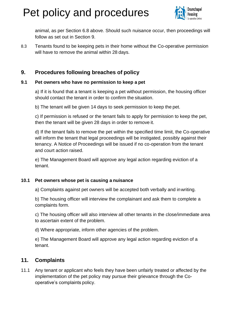

animal, as per Section 6.8 above. Should such nuisance occur, then proceedings will follow as set out in Section 9.

8.3 Tenants found to be keeping pets in their home without the Co-operative permission will have to remove the animal within 28 days.

### **9. Procedures following breaches of policy**

### **9.1 Pet owners who have no permission to keep a pet**

a) If it is found that a tenant is keeping a pet without permission, the housing officer should contact the tenant in order to confirm the situation.

b) The tenant will be given 14 days to seek permission to keep the pet.

c) If permission is refused or the tenant fails to apply for permission to keep the pet, then the tenant will be given 28 days in order to remove it.

d) If the tenant fails to remove the pet within the specified time limit, the Co-operative will inform the tenant that legal proceedings will be instigated, possibly against their tenancy. A Notice of Proceedings will be issued if no co-operation from the tenant and court action raised.

e) The Management Board will approve any legal action regarding eviction of a tenant.

### **10.1 Pet owners whose pet is causing a nuisance**

a) Complaints against pet owners will be accepted both verbally and inwriting.

b) The housing officer will interview the complainant and ask them to complete a complaints form.

c) The housing officer will also interview all other tenants in the close/immediate area to ascertain extent of the problem.

d) Where appropriate, inform other agencies of the problem.

e) The Management Board will approve any legal action regarding eviction of a tenant.

### **11. Complaints**

11.1 Any tenant or applicant who feels they have been unfairly treated or affected by the implementation of the pet policy may pursue their grievance through the Cooperative's complaints policy.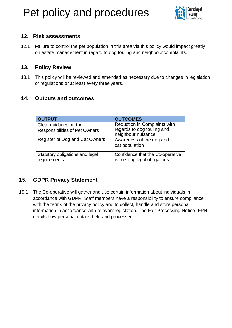

### **12. Risk assessments**

12.1 Failure to control the pet population in this area via this policy would impact greatly on estate management in regard to dog fouling and neighbour complaints.

### **13. Policy Review**

13.1 This policy will be reviewed and amended as necessary due to changes in legislation or regulations or at least every three years.

### **14. Outputs and outcomes**

| <b>OUTPUT</b>                                   | <b>OUTCOMES</b>                                                  |
|-------------------------------------------------|------------------------------------------------------------------|
| Clear guidance on the                           | Reduction in Complaints with<br>regards to dog fouling and       |
| <b>Responsibilities of Pet Owners</b>           | neighbour nuisance.                                              |
| Register of Dog and Cat Owners                  | Awareness of the dog and<br>cat population                       |
| Statutory obligations and legal<br>requirements | Confidence that the Co-operative<br>is meeting legal obligations |

### **15. GDPR Privacy Statement**

15.1 The Co-operative will gather and use certain information about individuals in accordance with GDPR. Staff members have a responsibility to ensure compliance with the terms of the privacy policy and to collect, handle and store personal information in accordance with relevant legislation. The Fair Processing Notice (FPN) details how personal data is held and processed.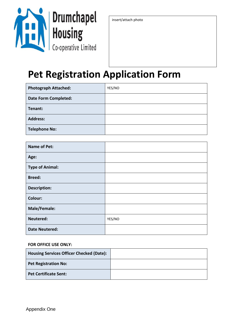

insert/attach photo

### **Pet Registration Application Form**

| <b>Photograph Attached:</b> | YES/NO |
|-----------------------------|--------|
| <b>Date Form Completed:</b> |        |
| Tenant:                     |        |
| <b>Address:</b>             |        |
| <b>Telephone No:</b>        |        |

| <b>Name of Pet:</b>    |        |
|------------------------|--------|
| Age:                   |        |
| <b>Type of Animal:</b> |        |
| <b>Breed:</b>          |        |
| <b>Description:</b>    |        |
| Colour:                |        |
| Male/Female:           |        |
| Neutered:              | YES/NO |
| <b>Date Neutered:</b>  |        |

#### **FOR OFFICE USE ONLY:**

| <b>Housing Services Officer Checked (Date):</b> |  |
|-------------------------------------------------|--|
| <b>Pet Registration No:</b>                     |  |
| <b>Pet Certificate Sent:</b>                    |  |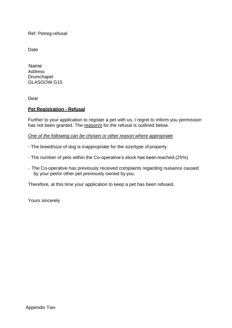Ref: Petreg-refusal

Date

 Name **Address** Drumchapel GLASGOW G15

Dear

#### **Pet Registration - Refusal**

Further to your application to register a pet with us, I regret to inform you permission has not been granted. The reason/s for the refusal is outlined below.

*One of the following can be chosen or other reason where appropriate*

- The breed/size of dog is inappropriate for the size/type of property.
- The number of pets within the Co-operative's stock has beenreached.(25%)
- The Co-operative has previously received complaints regarding nuisance caused by your pet/or other pet previously owned by you.

Therefore, at this time your application to keep a pet has been refused.

Yours sincerely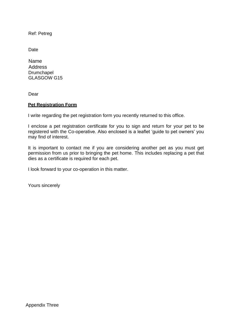Ref: Petreg

Date

 Name Address Drumchapel GLASGOW G15

Dear

#### **Pet Registration Form**

I write regarding the pet registration form you recently returned to this office.

I enclose a pet registration certificate for you to sign and return for your pet to be registered with the Co-operative. Also enclosed is a leaflet 'guide to pet owners' you may find of interest.

It is important to contact me if you are considering another pet as you must get permission from us prior to bringing the pet home. This includes replacing a pet that dies as a certificate is required for each pet.

I look forward to your co-operation in this matter.

Yours sincerely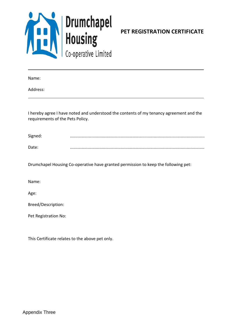

**PET REGISTRATION CERTIFICATE**

Name:

Address:

I hereby agree I have noted and understood the contents of my tenancy agreement and the requirements of the Pets Policy.

| Signed: |  |
|---------|--|
| Date:   |  |

Drumchapel Housing Co-operative have granted permission to keep the following pet:

Name:

Age:

Breed/Description:

Pet Registration No:

This Certificate relates to the above pet only.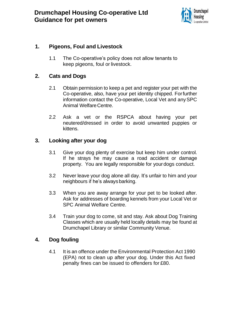

### **1. Pigeons, Foul and Livestock**

1.1 The Co-operative's policy does not allow tenants to keep pigeons, foul or livestock.

### **2. Cats and Dogs**

- 2.1 Obtain permission to keep a pet and register your pet with the Co-operative, also, have your pet identity chipped. Forfurther information contact the Co-operative, Local Vet and anySPC Animal WelfareCentre.
- 2.2 Ask a vet or the RSPCA about having your pet neutered/dressed in order to avoid unwanted puppies or kittens.

### **3. Looking after your dog**

- 3.1 Give your dog plenty of exercise but keep him under control. If he strays he may cause a road accident or damage property. You are legally responsible for yourdogs conduct.
- 3.2 Never leave your dog alone all day. It's unfair to him and your neighbours if he's always barking.
- 3.3 When you are away arrange for your pet to be looked after. Ask for addresses of boarding kennels from your Local Vet or SPC Animal Welfare Centre.
- 3.4 Train your dog to come, sit and stay. Ask about Dog Training Classes which are usually held locally details may be found at Drumchapel Library or similar Community Venue.

### **4. Dog fouling**

4.1 It is an offence under the Environmental Protection Act 1990 (EPA) not to clean up after your dog. Under this Act fixed penalty fines can be issued to offenders for £80.